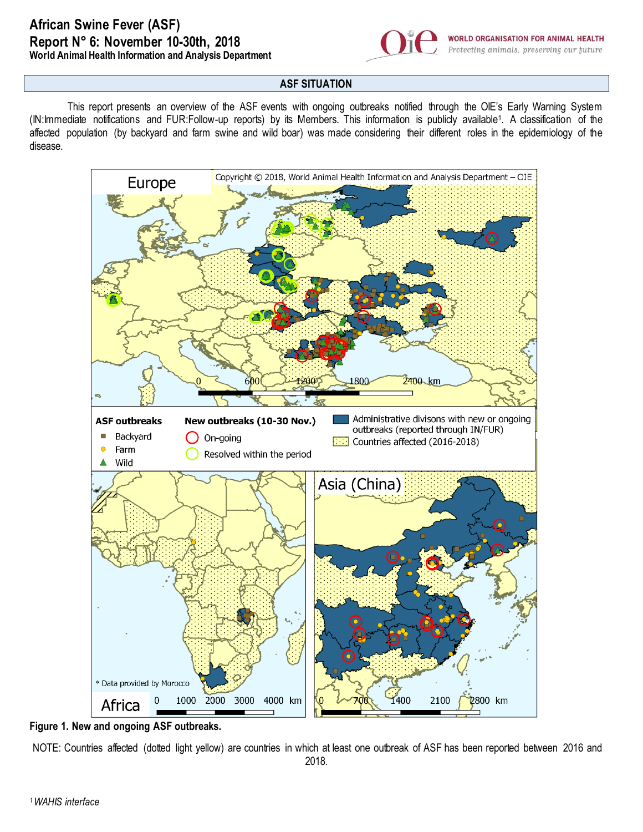## **African Swine Fever (ASF) Report N° 6: November 10-30th, 2018 World Animal Health Information and Analysis Department**



## **ASF SITUATION**

This report presents an overview of the ASF events with ongoing outbreaks notified through the OIE's Early Warning System (IN:Immediate notifications and FUR:Follow-up reports) by its Members. This information is publicly available<sup>1</sup> . A classification of the affected population (by backyard and farm swine and wild boar) was made considering their different roles in the epidemiology of the disease.



**Figure 1. New and ongoing ASF outbreaks.**

NOTE: Countries affected (dotted light yellow) are countries in which at least one outbreak of ASF has been reported between 2016 and 2018.